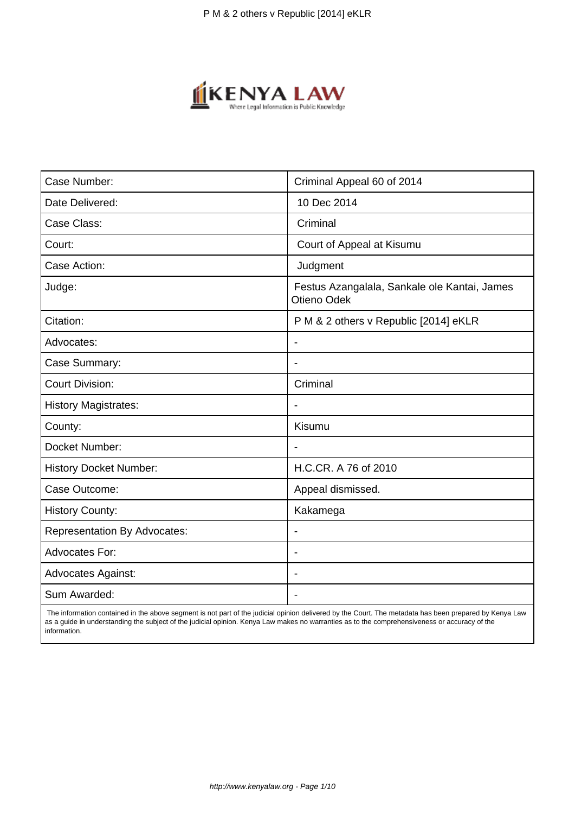

| Case Number:                        | Criminal Appeal 60 of 2014                                  |  |
|-------------------------------------|-------------------------------------------------------------|--|
| Date Delivered:                     | 10 Dec 2014                                                 |  |
| Case Class:                         | Criminal                                                    |  |
| Court:                              | Court of Appeal at Kisumu                                   |  |
| Case Action:                        | Judgment                                                    |  |
| Judge:                              | Festus Azangalala, Sankale ole Kantai, James<br>Otieno Odek |  |
| Citation:                           | P M & 2 others v Republic [2014] eKLR                       |  |
| Advocates:                          |                                                             |  |
| Case Summary:                       |                                                             |  |
| <b>Court Division:</b>              | Criminal                                                    |  |
| <b>History Magistrates:</b>         | $\overline{\phantom{a}}$                                    |  |
| County:                             | Kisumu                                                      |  |
| Docket Number:                      |                                                             |  |
| <b>History Docket Number:</b>       | H.C.CR. A 76 of 2010                                        |  |
| Case Outcome:                       | Appeal dismissed.                                           |  |
| <b>History County:</b>              | Kakamega                                                    |  |
| <b>Representation By Advocates:</b> | $\overline{\phantom{a}}$                                    |  |
| <b>Advocates For:</b>               |                                                             |  |
| <b>Advocates Against:</b>           |                                                             |  |
| Sum Awarded:                        |                                                             |  |

 The information contained in the above segment is not part of the judicial opinion delivered by the Court. The metadata has been prepared by Kenya Law as a guide in understanding the subject of the judicial opinion. Kenya Law makes no warranties as to the comprehensiveness or accuracy of the information.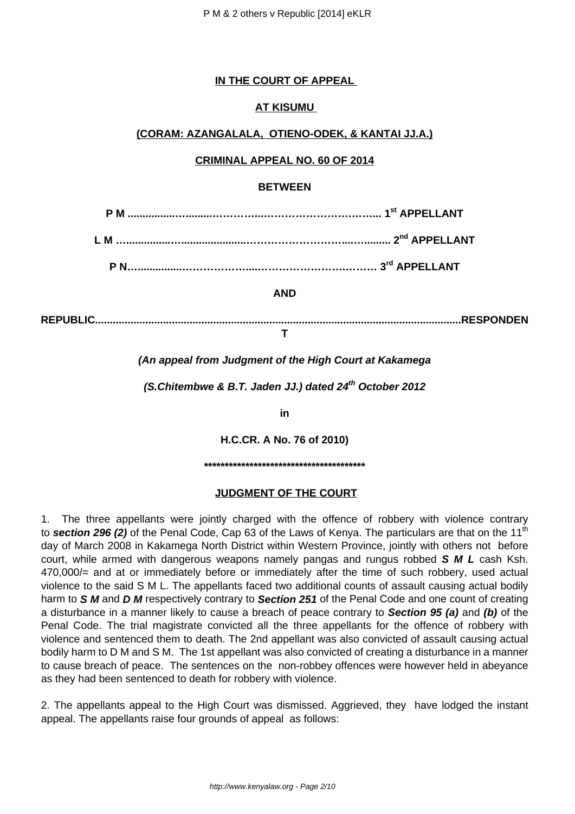#### **IN THE COURT OF APPEAL**

## **AT KISUMU**

#### **(CORAM: AZANGALALA, OTIENO-ODEK, & KANTAI JJ.A.)**

## **CRIMINAL APPEAL NO. 60 OF 2014**

#### **BETWEEN**

|  | 1 <sup>st</sup> APPELLANT |
|--|---------------------------|
|--|---------------------------|

**L M …...............…......................………………………....…......... 2nd APPELLANT**

**P N…...............………………....…………………….……… 3rd APPELLANT**

#### **AND**

**REPUBLIC............................................................................................................................RESPONDEN T**

## **(An appeal from Judgment of the High Court at Kakamega**

**(S.Chitembwe & B.T. Jaden JJ.) dated 24th October 2012**

**in**

**H.C.CR. A No. 76 of 2010)**

**\*\*\*\*\*\*\*\*\*\*\*\*\*\*\*\*\*\*\*\*\*\*\*\*\*\*\*\*\*\*\*\*\*\*\*\*\*\*\***

#### **JUDGMENT OF THE COURT**

1. The three appellants were jointly charged with the offence of robbery with violence contrary to **section 296 (2)** of the Penal Code, Cap 63 of the Laws of Kenya. The particulars are that on the 11<sup>th</sup> day of March 2008 in Kakamega North District within Western Province, jointly with others not before court, while armed with dangerous weapons namely pangas and rungus robbed **S M L** cash Ksh. 470,000/= and at or immediately before or immediately after the time of such robbery, used actual violence to the said S M L. The appellants faced two additional counts of assault causing actual bodily harm to **S M** and **D M** respectively contrary to **Section 251** of the Penal Code and one count of creating a disturbance in a manner likely to cause a breach of peace contrary to **Section 95 (a)** and **(b)** of the Penal Code. The trial magistrate convicted all the three appellants for the offence of robbery with violence and sentenced them to death. The 2nd appellant was also convicted of assault causing actual bodily harm to D M and S M. The 1st appellant was also convicted of creating a disturbance in a manner to cause breach of peace. The sentences on the non-robbey offences were however held in abeyance as they had been sentenced to death for robbery with violence.

2. The appellants appeal to the High Court was dismissed. Aggrieved, they have lodged the instant appeal. The appellants raise four grounds of appeal as follows: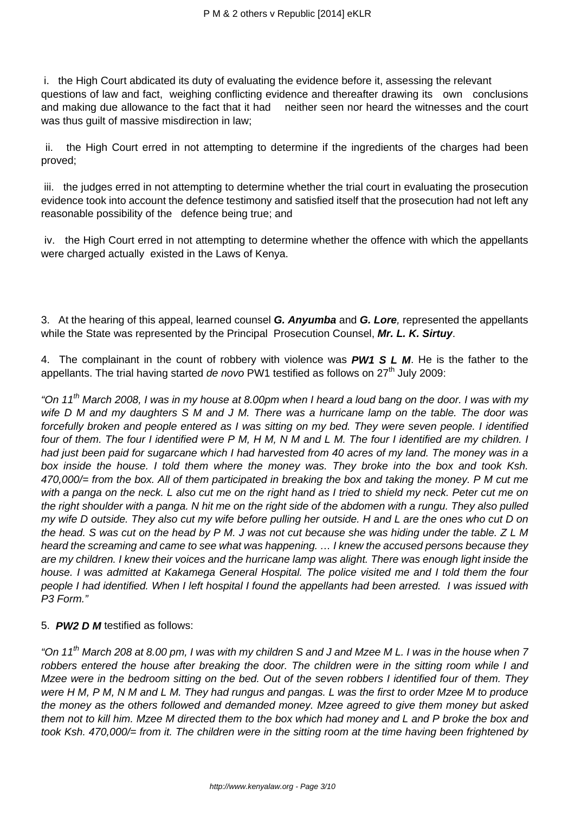i. the High Court abdicated its duty of evaluating the evidence before it, assessing the relevant questions of law and fact, weighing conflicting evidence and thereafter drawing its own conclusions and making due allowance to the fact that it had neither seen nor heard the witnesses and the court was thus guilt of massive misdirection in law;

ii. the High Court erred in not attempting to determine if the ingredients of the charges had been proved;

iii. the judges erred in not attempting to determine whether the trial court in evaluating the prosecution evidence took into account the defence testimony and satisfied itself that the prosecution had not left any reasonable possibility of the defence being true; and

iv. the High Court erred in not attempting to determine whether the offence with which the appellants were charged actually existed in the Laws of Kenya.

3. At the hearing of this appeal, learned counsel **G. Anyumba** and **G. Lore**, represented the appellants while the State was represented by the Principal Prosecution Counsel, **Mr. L. K. Sirtuy**.

4. The complainant in the count of robbery with violence was **PW1 S L M**. He is the father to the appellants. The trial having started de novo PW1 testified as follows on  $27<sup>th</sup>$  July 2009:

"On 11<sup>th</sup> March 2008, I was in my house at 8.00pm when I heard a loud bang on the door. I was with my wife D M and my daughters S M and J M. There was a hurricane lamp on the table. The door was forcefully broken and people entered as I was sitting on my bed. They were seven people. I identified four of them. The four I identified were P M, H M, N M and L M. The four I identified are my children. I had just been paid for sugarcane which I had harvested from 40 acres of my land. The money was in a box inside the house. I told them where the money was. They broke into the box and took Ksh. 470,000/= from the box. All of them participated in breaking the box and taking the money. P M cut me with a panga on the neck. L also cut me on the right hand as I tried to shield my neck. Peter cut me on the right shoulder with a panga. N hit me on the right side of the abdomen with a rungu. They also pulled my wife D outside. They also cut my wife before pulling her outside. H and L are the ones who cut D on the head. S was cut on the head by P M. J was not cut because she was hiding under the table. Z L M heard the screaming and came to see what was happening. … I knew the accused persons because they are my children. I knew their voices and the hurricane lamp was alight. There was enough light inside the house. I was admitted at Kakamega General Hospital. The police visited me and I told them the four people I had identified. When I left hospital I found the appellants had been arrested. I was issued with P3 Form."

#### 5. **PW2 D M** testified as follows:

"On 11th March 208 at 8.00 pm, I was with my children S and J and Mzee M L. I was in the house when 7 robbers entered the house after breaking the door. The children were in the sitting room while I and Mzee were in the bedroom sitting on the bed. Out of the seven robbers I identified four of them. They were H M, P M, N M and L M. They had rungus and pangas. L was the first to order Mzee M to produce the money as the others followed and demanded money. Mzee agreed to give them money but asked them not to kill him. Mzee M directed them to the box which had money and L and P broke the box and took Ksh. 470,000/= from it. The children were in the sitting room at the time having been frightened by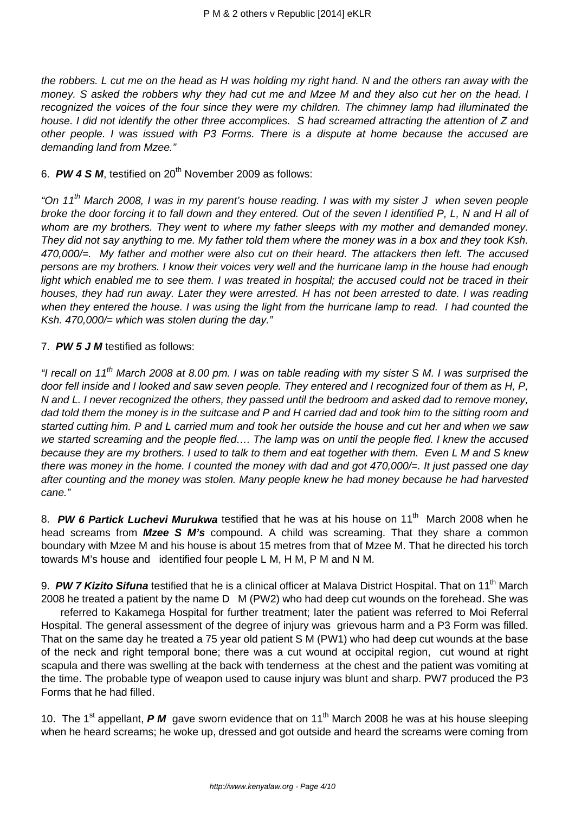the robbers. L cut me on the head as H was holding my right hand. N and the others ran away with the money. S asked the robbers why they had cut me and Mzee M and they also cut her on the head. I recognized the voices of the four since they were my children. The chimney lamp had illuminated the house. I did not identify the other three accomplices. S had screamed attracting the attention of Z and other people. I was issued with P3 Forms. There is a dispute at home because the accused are demanding land from Mzee."

#### 6. PW 4 S M, testified on 20<sup>th</sup> November 2009 as follows:

"On 11<sup>th</sup> March 2008, I was in my parent's house reading. I was with my sister J when seven people broke the door forcing it to fall down and they entered. Out of the seven I identified P, L, N and H all of whom are my brothers. They went to where my father sleeps with my mother and demanded money. They did not say anything to me. My father told them where the money was in a box and they took Ksh. 470,000/=. My father and mother were also cut on their heard. The attackers then left. The accused persons are my brothers. I know their voices very well and the hurricane lamp in the house had enough light which enabled me to see them. I was treated in hospital; the accused could not be traced in their houses, they had run away. Later they were arrested. H has not been arrested to date. I was reading when they entered the house. I was using the light from the hurricane lamp to read. I had counted the Ksh. 470,000 $/=$  which was stolen during the day."

#### 7. **PW 5 J M** testified as follows:

"I recall on 11<sup>th</sup> March 2008 at 8.00 pm. I was on table reading with my sister S M. I was surprised the door fell inside and I looked and saw seven people. They entered and I recognized four of them as H, P. N and L. I never recognized the others, they passed until the bedroom and asked dad to remove money, dad told them the money is in the suitcase and P and H carried dad and took him to the sitting room and started cutting him. P and L carried mum and took her outside the house and cut her and when we saw we started screaming and the people fled…. The lamp was on until the people fled. I knew the accused because they are my brothers. I used to talk to them and eat together with them. Even L M and S knew there was money in the home. I counted the money with dad and got 470,000 $\equiv$ . It just passed one day after counting and the money was stolen. Many people knew he had money because he had harvested cane."

8. **PW 6 Partick Luchevi Murukwa** testified that he was at his house on 11<sup>th</sup> March 2008 when he head screams from **Mzee S M's** compound. A child was screaming. That they share a common boundary with Mzee M and his house is about 15 metres from that of Mzee M. That he directed his torch towards M's house and identified four people L M, H M, P M and N M.

9. **PW 7 Kizito Sifuna** testified that he is a clinical officer at Malava District Hospital. That on 11<sup>th</sup> March 2008 he treated a patient by the name D M (PW2) who had deep cut wounds on the forehead. She was

 referred to Kakamega Hospital for further treatment; later the patient was referred to Moi Referral Hospital. The general assessment of the degree of injury was grievous harm and a P3 Form was filled. That on the same day he treated a 75 year old patient S M (PW1) who had deep cut wounds at the base of the neck and right temporal bone; there was a cut wound at occipital region, cut wound at right scapula and there was swelling at the back with tenderness at the chest and the patient was vomiting at the time. The probable type of weapon used to cause injury was blunt and sharp. PW7 produced the P3 Forms that he had filled.

10. The 1<sup>st</sup> appellant, **P M** gave sworn evidence that on 11<sup>th</sup> March 2008 he was at his house sleeping when he heard screams; he woke up, dressed and got outside and heard the screams were coming from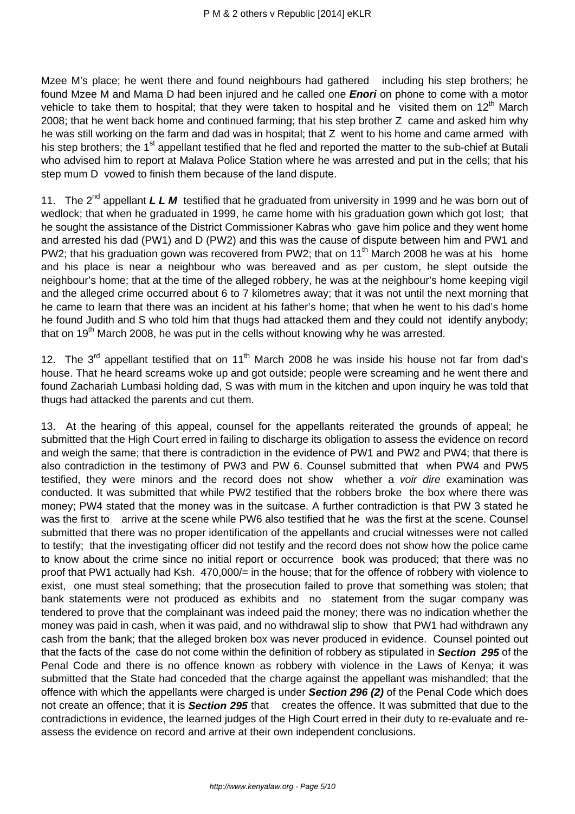Mzee M's place; he went there and found neighbours had gathered including his step brothers; he found Mzee M and Mama D had been injured and he called one **Enori** on phone to come with a motor vehicle to take them to hospital; that they were taken to hospital and he visited them on  $12<sup>th</sup>$  March 2008; that he went back home and continued farming; that his step brother Z came and asked him why he was still working on the farm and dad was in hospital; that Z went to his home and came armed with his step brothers; the 1<sup>st</sup> appellant testified that he fled and reported the matter to the sub-chief at Butali who advised him to report at Malava Police Station where he was arrested and put in the cells; that his step mum D vowed to finish them because of the land dispute.

11. The 2<sup>nd</sup> appellant **L L M** testified that he graduated from university in 1999 and he was born out of wedlock; that when he graduated in 1999, he came home with his graduation gown which got lost; that he sought the assistance of the District Commissioner Kabras who gave him police and they went home and arrested his dad (PW1) and D (PW2) and this was the cause of dispute between him and PW1 and PW2; that his graduation gown was recovered from PW2; that on 11<sup>th</sup> March 2008 he was at his home and his place is near a neighbour who was bereaved and as per custom, he slept outside the neighbour's home; that at the time of the alleged robbery, he was at the neighbour's home keeping vigil and the alleged crime occurred about 6 to 7 kilometres away; that it was not until the next morning that he came to learn that there was an incident at his father's home; that when he went to his dad's home he found Judith and S who told him that thugs had attacked them and they could not identify anybody; that on  $19<sup>th</sup>$  March 2008, he was put in the cells without knowing why he was arrested.

12. The  $3^{rd}$  appellant testified that on 11<sup>th</sup> March 2008 he was inside his house not far from dad's house. That he heard screams woke up and got outside; people were screaming and he went there and found Zachariah Lumbasi holding dad, S was with mum in the kitchen and upon inquiry he was told that thugs had attacked the parents and cut them.

13. At the hearing of this appeal, counsel for the appellants reiterated the grounds of appeal; he submitted that the High Court erred in failing to discharge its obligation to assess the evidence on record and weigh the same; that there is contradiction in the evidence of PW1 and PW2 and PW4; that there is also contradiction in the testimony of PW3 and PW 6. Counsel submitted that when PW4 and PW5 testified, they were minors and the record does not show whether a voir dire examination was conducted. It was submitted that while PW2 testified that the robbers broke the box where there was money; PW4 stated that the money was in the suitcase. A further contradiction is that PW 3 stated he was the first to arrive at the scene while PW6 also testified that he was the first at the scene. Counsel submitted that there was no proper identification of the appellants and crucial witnesses were not called to testify; that the investigating officer did not testify and the record does not show how the police came to know about the crime since no initial report or occurrence book was produced; that there was no proof that PW1 actually had Ksh. 470,000/= in the house; that for the offence of robbery with violence to exist, one must steal something; that the prosecution failed to prove that something was stolen; that bank statements were not produced as exhibits and no statement from the sugar company was tendered to prove that the complainant was indeed paid the money; there was no indication whether the money was paid in cash, when it was paid, and no withdrawal slip to show that PW1 had withdrawn any cash from the bank; that the alleged broken box was never produced in evidence. Counsel pointed out that the facts of the case do not come within the definition of robbery as stipulated in **Section 295** of the Penal Code and there is no offence known as robbery with violence in the Laws of Kenya; it was submitted that the State had conceded that the charge against the appellant was mishandled; that the offence with which the appellants were charged is under **Section 296 (2)** of the Penal Code which does not create an offence; that it is **Section 295** that creates the offence. It was submitted that due to the contradictions in evidence, the learned judges of the High Court erred in their duty to re-evaluate and reassess the evidence on record and arrive at their own independent conclusions.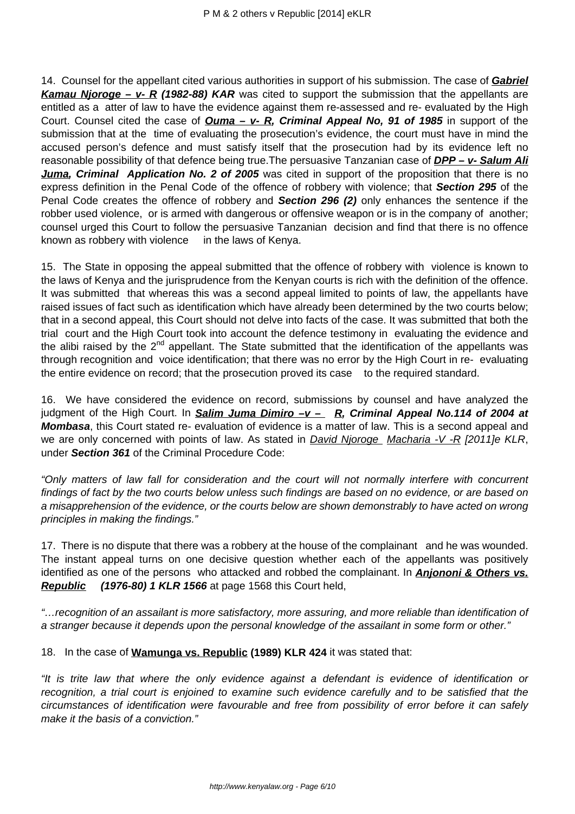14. Counsel for the appellant cited various authorities in support of his submission. The case of **Gabriel Kamau Njoroge – v- R (1982-88) KAR** was cited to support the submission that the appellants are entitled as a atter of law to have the evidence against them re-assessed and re- evaluated by the High Court. Counsel cited the case of **Ouma – v- R, Criminal Appeal No, 91 of 1985** in support of the submission that at the time of evaluating the prosecution's evidence, the court must have in mind the accused person's defence and must satisfy itself that the prosecution had by its evidence left no reasonable possibility of that defence being true. The persuasive Tanzanian case of **DPP - v- Salum Ali Juma, Criminal Application No. 2 of 2005** was cited in support of the proposition that there is no express definition in the Penal Code of the offence of robbery with violence; that **Section 295** of the Penal Code creates the offence of robbery and **Section 296 (2)** only enhances the sentence if the robber used violence, or is armed with dangerous or offensive weapon or is in the company of another; counsel urged this Court to follow the persuasive Tanzanian decision and find that there is no offence known as robbery with violence in the laws of Kenya.

15. The State in opposing the appeal submitted that the offence of robbery with violence is known to the laws of Kenya and the jurisprudence from the Kenyan courts is rich with the definition of the offence. It was submitted that whereas this was a second appeal limited to points of law, the appellants have raised issues of fact such as identification which have already been determined by the two courts below; that in a second appeal, this Court should not delve into facts of the case. It was submitted that both the trial court and the High Court took into account the defence testimony in evaluating the evidence and the alibi raised by the  $2^{nd}$  appellant. The State submitted that the identification of the appellants was through recognition and voice identification; that there was no error by the High Court in re- evaluating the entire evidence on record; that the prosecution proved its case to the required standard.

16. We have considered the evidence on record, submissions by counsel and have analyzed the judgment of the High Court. In **Salim Juma Dimiro –v – R, Criminal Appeal No.114 of 2004 at Mombasa**, this Court stated re- evaluation of evidence is a matter of law. This is a second appeal and we are only concerned with points of law. As stated in *David Njoroge Macharia -V -R [2011]e KLR*, under **Section 361** of the Criminal Procedure Code:

"Only matters of law fall for consideration and the court will not normally interfere with concurrent findings of fact by the two courts below unless such findings are based on no evidence, or are based on a misapprehension of the evidence, or the courts below are shown demonstrably to have acted on wrong principles in making the findings."

17. There is no dispute that there was a robbery at the house of the complainant and he was wounded. The instant appeal turns on one decisive question whether each of the appellants was positively identified as one of the persons who attacked and robbed the complainant. In **Anjononi & Others vs. Republic (1976-80) 1 KLR 1566** at page 1568 this Court held,

"…recognition of an assailant is more satisfactory, more assuring, and more reliable than identification of a stranger because it depends upon the personal knowledge of the assailant in some form or other."

18. In the case of **Wamunga vs. Republic (1989) KLR 424** it was stated that:

"It is trite law that where the only evidence against a defendant is evidence of identification or recognition, a trial court is enjoined to examine such evidence carefully and to be satisfied that the circumstances of identification were favourable and free from possibility of error before it can safely make it the basis of a conviction."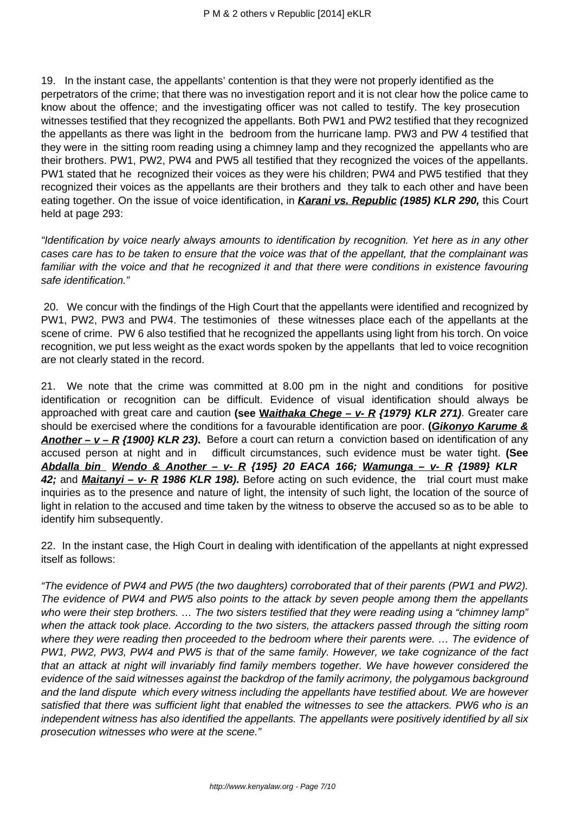19. In the instant case, the appellants' contention is that they were not properly identified as the perpetrators of the crime; that there was no investigation report and it is not clear how the police came to know about the offence; and the investigating officer was not called to testify. The key prosecution witnesses testified that they recognized the appellants. Both PW1 and PW2 testified that they recognized the appellants as there was light in the bedroom from the hurricane lamp. PW3 and PW 4 testified that they were in the sitting room reading using a chimney lamp and they recognized the appellants who are their brothers. PW1, PW2, PW4 and PW5 all testified that they recognized the voices of the appellants. PW1 stated that he recognized their voices as they were his children; PW4 and PW5 testified that they recognized their voices as the appellants are their brothers and they talk to each other and have been eating together. On the issue of voice identification, in **Karani vs. Republic (1985) KLR 290,** this Court held at page 293:

"Identification by voice nearly always amounts to identification by recognition. Yet here as in any other cases care has to be taken to ensure that the voice was that of the appellant, that the complainant was familiar with the voice and that he recognized it and that there were conditions in existence favouring safe identification."

20. We concur with the findings of the High Court that the appellants were identified and recognized by PW1, PW2, PW3 and PW4. The testimonies of these witnesses place each of the appellants at the scene of crime. PW 6 also testified that he recognized the appellants using light from his torch. On voice recognition, we put less weight as the exact words spoken by the appellants that led to voice recognition are not clearly stated in the record.

21. We note that the crime was committed at 8.00 pm in the night and conditions for positive identification or recognition can be difficult. Evidence of visual identification should always be approached with great care and caution **(see Waithaka Chege – v- R {1979} KLR 271)**. Greater care should be exercised where the conditions for a favourable identification are poor. **(Gikonyo Karume & Another – v – R {1900} KLR 23).** Before a court can return a conviction based on identification of any accused person at night and in difficult circumstances, such evidence must be water tight. **(See Abdalla bin Wendo & Another – v- R {195} 20 EACA 166; Wamunga – v- R {1989} KLR 42;** and **Maitanyi – v- R 1986 KLR 198).** Before acting on such evidence, the trial court must make inquiries as to the presence and nature of light, the intensity of such light, the location of the source of light in relation to the accused and time taken by the witness to observe the accused so as to be able to identify him subsequently.

22. In the instant case, the High Court in dealing with identification of the appellants at night expressed itself as follows:

"The evidence of PW4 and PW5 (the two daughters) corroborated that of their parents (PW1 and PW2). The evidence of PW4 and PW5 also points to the attack by seven people among them the appellants who were their step brothers. ... The two sisters testified that they were reading using a "chimney lamp" when the attack took place. According to the two sisters, the attackers passed through the sitting room where they were reading then proceeded to the bedroom where their parents were. … The evidence of PW1, PW2, PW3, PW4 and PW5 is that of the same family. However, we take cognizance of the fact that an attack at night will invariably find family members together. We have however considered the evidence of the said witnesses against the backdrop of the family acrimony, the polygamous background and the land dispute which every witness including the appellants have testified about. We are however satisfied that there was sufficient light that enabled the witnesses to see the attackers. PW6 who is an independent witness has also identified the appellants. The appellants were positively identified by all six prosecution witnesses who were at the scene."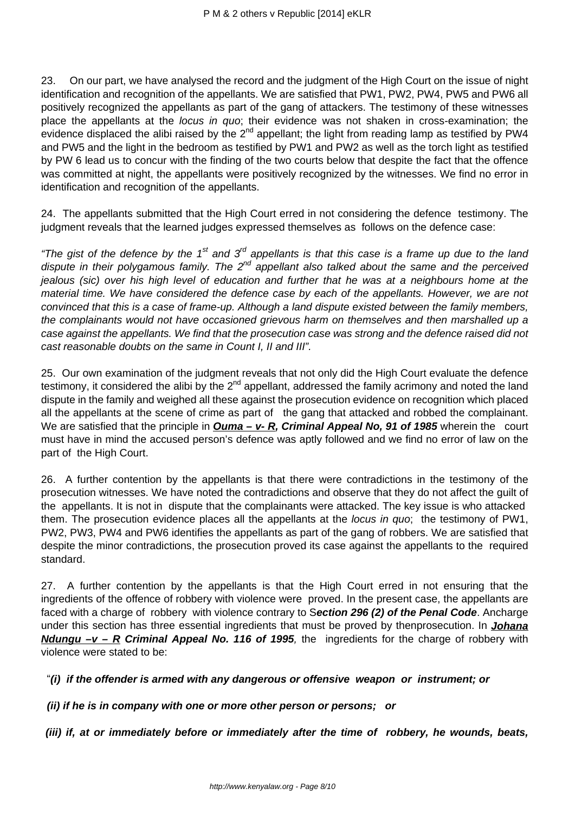23. On our part, we have analysed the record and the judgment of the High Court on the issue of night identification and recognition of the appellants. We are satisfied that PW1, PW2, PW4, PW5 and PW6 all positively recognized the appellants as part of the gang of attackers. The testimony of these witnesses place the appellants at the locus in quo; their evidence was not shaken in cross-examination; the evidence displaced the alibi raised by the  $2^{nd}$  appellant; the light from reading lamp as testified by PW4 and PW5 and the light in the bedroom as testified by PW1 and PW2 as well as the torch light as testified by PW 6 lead us to concur with the finding of the two courts below that despite the fact that the offence was committed at night, the appellants were positively recognized by the witnesses. We find no error in identification and recognition of the appellants.

24. The appellants submitted that the High Court erred in not considering the defence testimony. The judgment reveals that the learned judges expressed themselves as follows on the defence case:

"The gist of the defence by the 1<sup>st</sup> and 3<sup>rd</sup> appellants is that this case is a frame up due to the land dispute in their polygamous family. The 2<sup>nd</sup> appellant also talked about the same and the perceived jealous (sic) over his high level of education and further that he was at a neighbours home at the material time. We have considered the defence case by each of the appellants. However, we are not convinced that this is a case of frame-up. Although a land dispute existed between the family members, the complainants would not have occasioned grievous harm on themselves and then marshalled up a case against the appellants. We find that the prosecution case was strong and the defence raised did not cast reasonable doubts on the same in Count I, II and III".

25. Our own examination of the judgment reveals that not only did the High Court evaluate the defence testimony, it considered the alibi by the  $2^{nd}$  appellant, addressed the family acrimony and noted the land dispute in the family and weighed all these against the prosecution evidence on recognition which placed all the appellants at the scene of crime as part of the gang that attacked and robbed the complainant. We are satisfied that the principle in *Ouma – v- R, Criminal Appeal No, 91 of 1985* wherein the court must have in mind the accused person's defence was aptly followed and we find no error of law on the part of the High Court.

26. A further contention by the appellants is that there were contradictions in the testimony of the prosecution witnesses. We have noted the contradictions and observe that they do not affect the guilt of the appellants. It is not in dispute that the complainants were attacked. The key issue is who attacked them. The prosecution evidence places all the appellants at the *locus in quo*; the testimony of PW1, PW2, PW3, PW4 and PW6 identifies the appellants as part of the gang of robbers. We are satisfied that despite the minor contradictions, the prosecution proved its case against the appellants to the required standard.

27. A further contention by the appellants is that the High Court erred in not ensuring that the ingredients of the offence of robbery with violence were proved. In the present case, the appellants are faced with a charge of robbery with violence contrary to S**ection 296 (2) of the Penal Code**. Ancharge under this section has three essential ingredients that must be proved by thenprosecution. In **Johana Ndungu –v – R Criminal Appeal No. 116 of 1995**, the ingredients for the charge of robbery with violence were stated to be:

"**(i) if the offender is armed with any dangerous or offensive weapon or instrument; or**

 **(ii) if he is in company with one or more other person or persons; or**

**(iii) if, at or immediately before or immediately after the time of robbery, he wounds, beats,**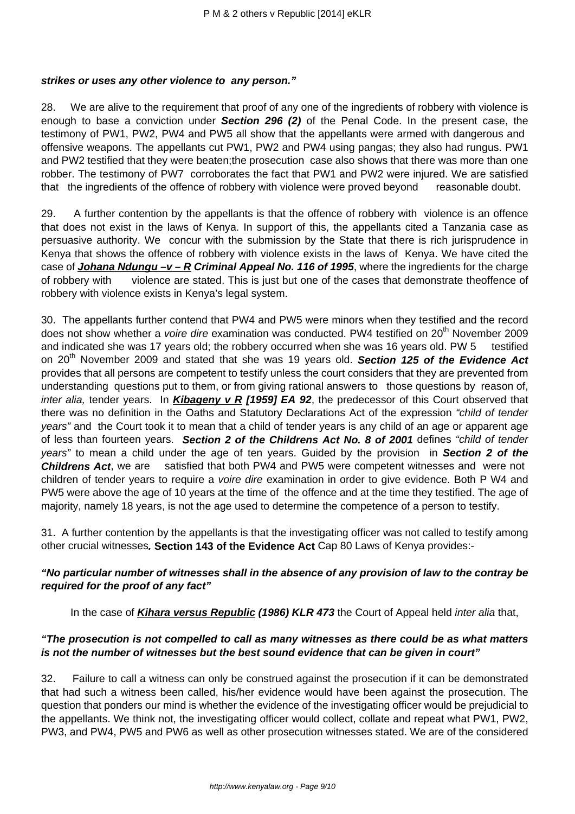#### **strikes or uses any other violence to any person."**

28. We are alive to the requirement that proof of any one of the ingredients of robbery with violence is enough to base a conviction under **Section 296 (2)** of the Penal Code. In the present case, the testimony of PW1, PW2, PW4 and PW5 all show that the appellants were armed with dangerous and offensive weapons. The appellants cut PW1, PW2 and PW4 using pangas; they also had rungus. PW1 and PW2 testified that they were beaten;the prosecution case also shows that there was more than one robber. The testimony of PW7 corroborates the fact that PW1 and PW2 were injured. We are satisfied that the ingredients of the offence of robbery with violence were proved beyond reasonable doubt.

29. A further contention by the appellants is that the offence of robbery with violence is an offence that does not exist in the laws of Kenya. In support of this, the appellants cited a Tanzania case as persuasive authority. We concur with the submission by the State that there is rich jurisprudence in Kenya that shows the offence of robbery with violence exists in the laws of Kenya. We have cited the case of **Johana Ndungu –v – R Criminal Appeal No. 116 of 1995**, where the ingredients for the charge of robbery with violence are stated. This is just but one of the cases that demonstrate theoffence of robbery with violence exists in Kenya's legal system.

30. The appellants further contend that PW4 and PW5 were minors when they testified and the record does not show whether a *voire dire* examination was conducted. PW4 testified on 20<sup>th</sup> November 2009 and indicated she was 17 years old; the robbery occurred when she was 16 years old. PW 5 testified on 20<sup>th</sup> November 2009 and stated that she was 19 years old. **Section 125 of the Evidence Act** provides that all persons are competent to testify unless the court considers that they are prevented from understanding questions put to them, or from giving rational answers to those questions by reason of, inter alia, tender years. In **Kibageny v R [1959] EA 92**, the predecessor of this Court observed that there was no definition in the Oaths and Statutory Declarations Act of the expression "child of tender years" and the Court took it to mean that a child of tender years is any child of an age or apparent age of less than fourteen years. **Section 2 of the Childrens Act No. 8 of 2001** defines "child of tender years" to mean a child under the age of ten years. Guided by the provision in **Section 2 of the Childrens Act**, we are satisfied that both PW4 and PW5 were competent witnesses and were not children of tender years to require a voire dire examination in order to give evidence. Both P W4 and PW5 were above the age of 10 years at the time of the offence and at the time they testified. The age of majority, namely 18 years, is not the age used to determine the competence of a person to testify.

31. A further contention by the appellants is that the investigating officer was not called to testify among other crucial witnesses**. Section 143 of the Evidence Act** Cap 80 Laws of Kenya provides:-

## **"No particular number of witnesses shall in the absence of any provision of law to the contray be required for the proof of any fact"**

In the case of **Kihara versus Republic (1986) KLR 473** the Court of Appeal held inter alia that,

## **"The prosecution is not compelled to call as many witnesses as there could be as what matters is not the number of witnesses but the best sound evidence that can be given in court"**

32. Failure to call a witness can only be construed against the prosecution if it can be demonstrated that had such a witness been called, his/her evidence would have been against the prosecution. The question that ponders our mind is whether the evidence of the investigating officer would be prejudicial to the appellants. We think not, the investigating officer would collect, collate and repeat what PW1, PW2, PW3, and PW4, PW5 and PW6 as well as other prosecution witnesses stated. We are of the considered